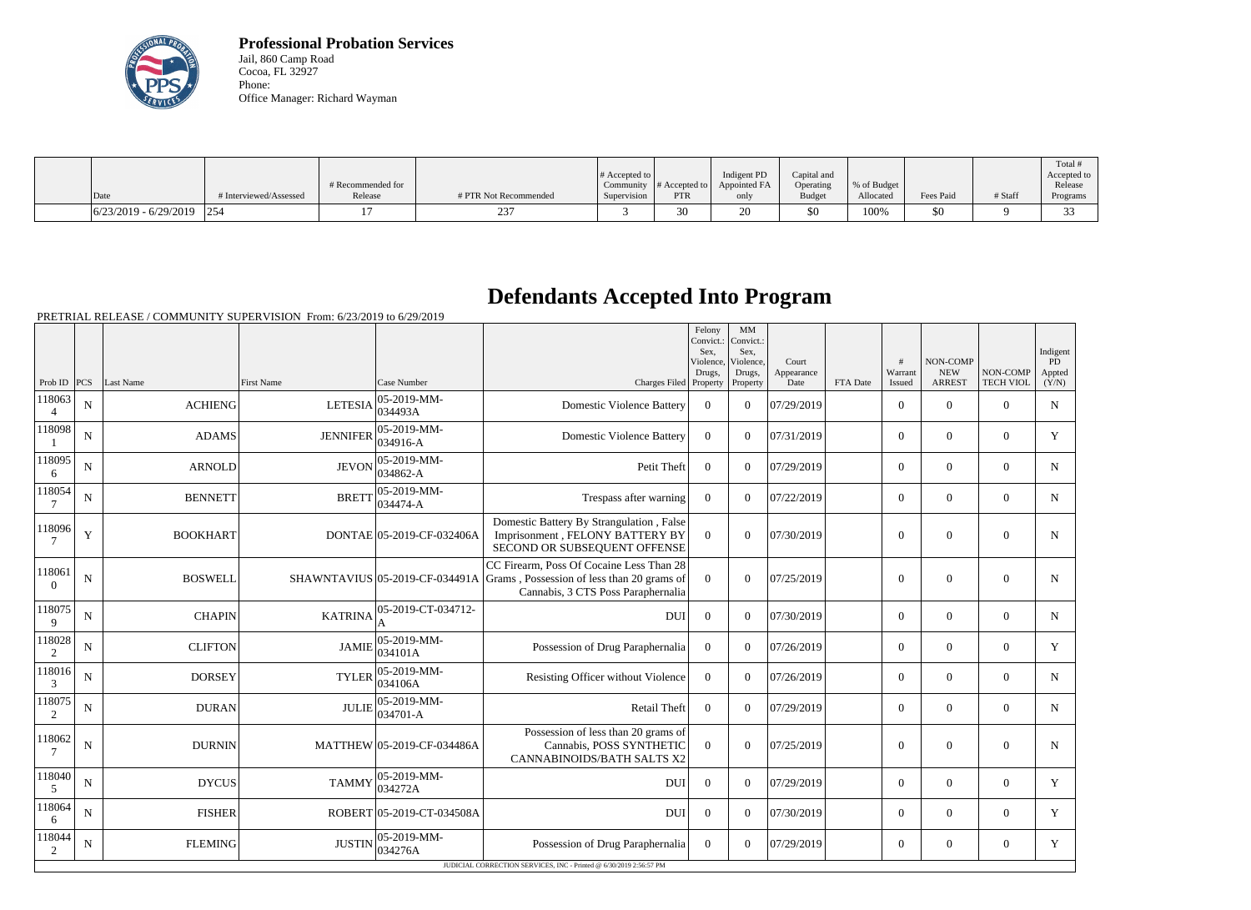

**Professional Probation Services** Jail, 860 Camp Road Cocoa, FL 32927 Phone: Office Manager: Richard Wayman

|                                                                                          |                        |                              |                       | # Accepted to $\vert$    |                             | Indigent PD          | Capital and                |                          |           |         | Total #<br>Accepted to |
|------------------------------------------------------------------------------------------|------------------------|------------------------------|-----------------------|--------------------------|-----------------------------|----------------------|----------------------------|--------------------------|-----------|---------|------------------------|
| Date                                                                                     | # Interviewed/Assessed | # Recommended for<br>Release | # PTR Not Recommended | Community<br>Supervision | # Accepted to<br><b>PTR</b> | Appointed FA<br>only | Operating<br><b>Budget</b> | % of Budget<br>Allocated | Fees Paid | # Staff | Release<br>Programs    |
|                                                                                          |                        |                              |                       |                          |                             |                      |                            |                          |           |         |                        |
| $\left  \frac{6}{23/2019} \right  - \left  \frac{6}{29/2019} \right  \left  \right  254$ |                        |                              | $\sim$                |                          | 30                          | ۷J                   | \$0                        | 100%                     | \$0       |         | $\sim$                 |

## **Defendants Accepted Into Program**

PRETRIAL RELEASE / COMMUNITY SUPERVISION From: 6/23/2019 to 6/29/2019

|                          |             |                 |                   |                               |                                                                                                                                                             | Felony<br>Convict.:<br>Sex,<br>Violence.<br>Drugs, | MM<br>Convict.:<br>Sex,<br>Violence,<br>Drugs, | Court<br>Appearance |          | #<br>Warrant   | <b>NON-COMP</b><br><b>NEW</b> | NON-COMP         | Indigent<br><b>PD</b><br>Appted |
|--------------------------|-------------|-----------------|-------------------|-------------------------------|-------------------------------------------------------------------------------------------------------------------------------------------------------------|----------------------------------------------------|------------------------------------------------|---------------------|----------|----------------|-------------------------------|------------------|---------------------------------|
| Prob ID $ PCS $          |             | Last Name       | <b>First Name</b> | Case Number                   | Charges Filed Property                                                                                                                                      |                                                    | Property                                       | Date                | FTA Date | Issued         | <b>ARREST</b>                 | <b>TECH VIOL</b> | (Y/N)                           |
| 118063<br>$\overline{4}$ | N           | <b>ACHIENG</b>  | <b>LETESIA</b>    | $05 - 2019 - MM -$<br>034493A | <b>Domestic Violence Battery</b>                                                                                                                            | $\Omega$                                           | $\Omega$                                       | 07/29/2019          |          | $\overline{0}$ | $\theta$                      | $\Omega$         | $\mathbf N$                     |
| 118098                   | $\mathbf N$ | <b>ADAMS</b>    | <b>JENNIFER</b>   | 05-2019-MM-<br>034916-A       | <b>Domestic Violence Battery</b>                                                                                                                            | $\overline{0}$                                     | $\Omega$                                       | 07/31/2019          |          | $\Omega$       | $\theta$                      | $\theta$         | Y                               |
| 118095<br>6              | $\mathbf N$ | <b>ARNOLD</b>   | <b>JEVON</b>      | 05-2019-MM-<br>034862-A       | Petit Theft                                                                                                                                                 | $\Omega$                                           | $\Omega$                                       | 07/29/2019          |          | $\overline{0}$ | $\theta$                      | $\overline{0}$   | $\mathbf N$                     |
| 118054                   | $\mathbf N$ | <b>BENNETT</b>  | <b>BRETT</b>      | 05-2019-MM-<br>$ 034474 - A$  | Trespass after warning                                                                                                                                      | $\boldsymbol{0}$                                   | $\Omega$                                       | 07/22/2019          |          | $\overline{0}$ | $\mathbf{0}$                  | $\overline{0}$   | $\mathbf N$                     |
| 118096                   | Y           | <b>BOOKHART</b> |                   | DONTAE 05-2019-CF-032406A     | Domestic Battery By Strangulation, False<br>Imprisonment, FELONY BATTERY BY<br>SECOND OR SUBSEQUENT OFFENSE                                                 | $\overline{0}$                                     | $\overline{0}$                                 | 07/30/2019          |          | $\overline{0}$ | $\overline{0}$                | $\mathbf{0}$     | $\mathbf N$                     |
| 118061<br>$\Omega$       | $\mathbf N$ | <b>BOSWELL</b>  |                   |                               | CC Firearm, Poss Of Cocaine Less Than 28<br>SHAWNTAVIUS 05-2019-CF-034491A Grams, Possession of less than 20 grams of<br>Cannabis, 3 CTS Poss Paraphernalia | $\overline{0}$                                     | $\overline{0}$                                 | 07/25/2019          |          | $\mathbf{0}$   | $\overline{0}$                | $\overline{0}$   | N                               |
| 118075<br>9              | ${\bf N}$   | <b>CHAPIN</b>   | <b>KATRINA</b>    | 05-2019-CT-034712-            | <b>DUI</b>                                                                                                                                                  | $\overline{0}$                                     | $\Omega$                                       | 07/30/2019          |          | $\overline{0}$ | $\mathbf{0}$                  | $\theta$         | $\mathbf N$                     |
| 118028<br>2              | N           | <b>CLIFTON</b>  | <b>JAMIE</b>      | 05-2019-MM-<br>034101A        | Possession of Drug Paraphernalia                                                                                                                            | $\overline{0}$                                     | $\Omega$                                       | 07/26/2019          |          | $\overline{0}$ | $\mathbf{0}$                  | $\overline{0}$   | Y                               |
| 118016<br>3              | ${\bf N}$   | <b>DORSEY</b>   | <b>TYLER</b>      | $ 05-2019-MM -$<br>034106A    | Resisting Officer without Violence                                                                                                                          | $\mathbf{0}$                                       | $\Omega$                                       | 07/26/2019          |          | $\Omega$       | $\theta$                      | $\theta$         | $\mathbf N$                     |
| 118075<br>2              | $\mathbf N$ | <b>DURAN</b>    | <b>JULIE</b>      | 05-2019-MM-<br>034701-A       | <b>Retail Theft</b>                                                                                                                                         | $\Omega$                                           | $\Omega$                                       | 07/29/2019          |          | $\overline{0}$ | $\theta$                      | $\theta$         | $\mathbf N$                     |
| 118062                   | ${\bf N}$   | <b>DURNIN</b>   |                   | MATTHEW 05-2019-CF-034486A    | Possession of less than 20 grams of<br>Cannabis, POSS SYNTHETIC<br><b>CANNABINOIDS/BATH SALTS X2</b>                                                        | $\overline{0}$                                     | $\theta$                                       | 07/25/2019          |          | $\overline{0}$ | $\overline{0}$                | $\overline{0}$   | N                               |
| 118040                   | N           | <b>DYCUS</b>    | <b>TAMMY</b>      | 05-2019-MM-<br>034272A        | DUI                                                                                                                                                         | $\Omega$                                           | $\Omega$                                       | 07/29/2019          |          | $\overline{0}$ | $\theta$                      | $\overline{0}$   | Y                               |
| 118064<br>6              | N           | <b>FISHER</b>   |                   | ROBERT 05-2019-CT-034508A     | <b>DUI</b>                                                                                                                                                  | $\Omega$                                           | $\Omega$                                       | 07/30/2019          |          | $\overline{0}$ | $\theta$                      | $\theta$         | Y                               |
| 118044<br>2              | $\mathbf N$ | <b>FLEMING</b>  | <b>JUSTIN</b>     | 05-2019-MM-<br>034276A        | Possession of Drug Paraphernalia                                                                                                                            | $\overline{0}$                                     | $\Omega$                                       | 07/29/2019          |          | $\overline{0}$ | $\boldsymbol{0}$              | $\overline{0}$   | Y                               |
|                          |             |                 |                   |                               | JUDICIAL CORRECTION SERVICES, INC - Printed @ 6/30/2019 2:56:57 PM                                                                                          |                                                    |                                                |                     |          |                |                               |                  |                                 |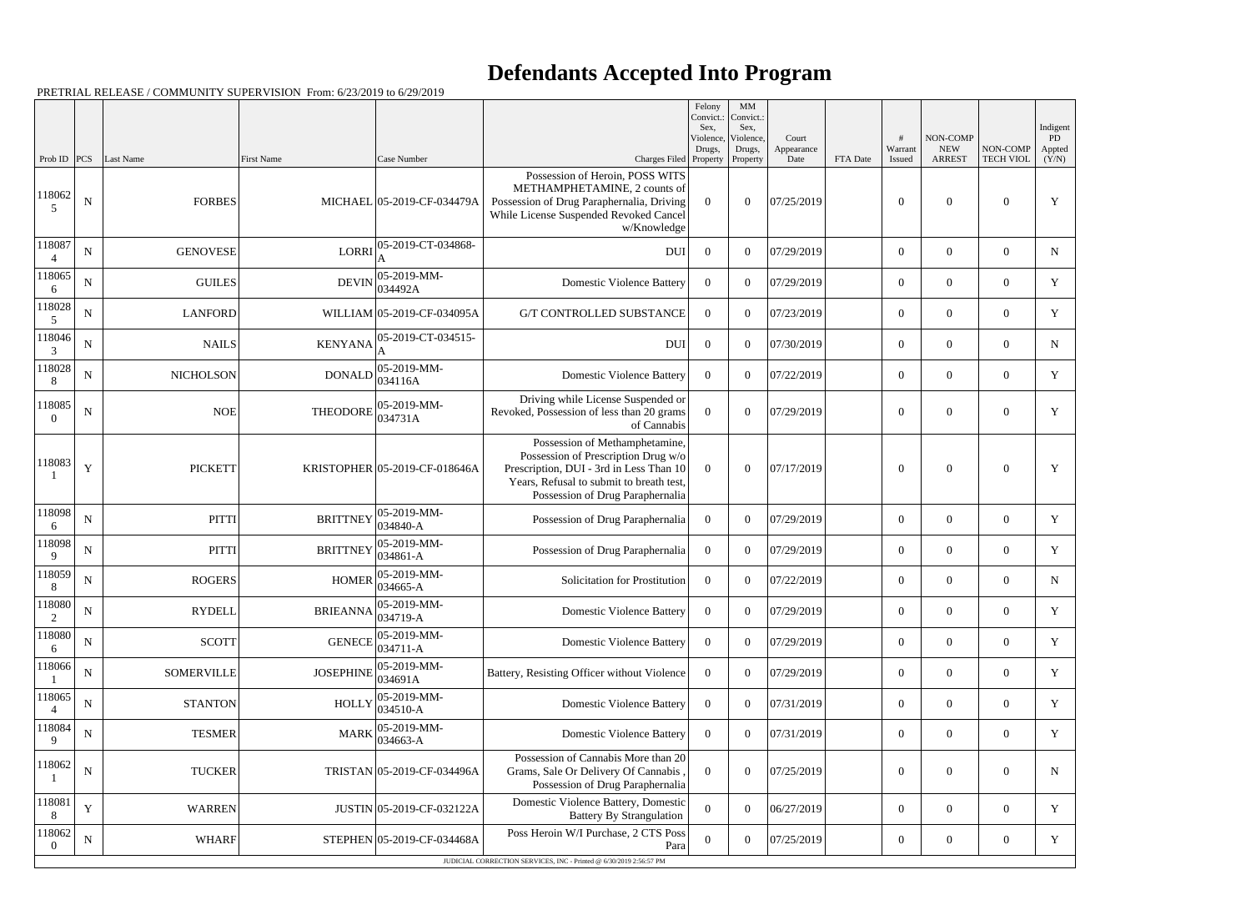## **Defendants Accepted Into Program**

PRETRIAL RELEASE / COMMUNITY SUPERVISION From: 6/23/2019 to 6/29/2019

|                          |             |                   |                                       |                                  |                                                                                                                                                                                                  | Felony<br>Convict.:<br>Sex. | MM<br>Convict.:<br>Sex, |                     |          |                  |                        |                  |                          |
|--------------------------|-------------|-------------------|---------------------------------------|----------------------------------|--------------------------------------------------------------------------------------------------------------------------------------------------------------------------------------------------|-----------------------------|-------------------------|---------------------|----------|------------------|------------------------|------------------|--------------------------|
|                          |             |                   |                                       |                                  |                                                                                                                                                                                                  | Violence,<br>Drugs,         | Violence,<br>Drugs,     | Court<br>Appearance |          | #<br>Warrant     | NON-COMP<br><b>NEW</b> | NON-COMP         | Indigent<br>PD<br>Appted |
| Prob ID                  | PCS         | Last Name         | First Name                            | Case Number                      | Charges Filed Property                                                                                                                                                                           |                             | Property                | Date                | FTA Date | Issued           | <b>ARREST</b>          | <b>TECH VIOL</b> | (Y/N)                    |
| 118062<br>5              | $\mathbf N$ | <b>FORBES</b>     |                                       | MICHAEL 05-2019-CF-034479A       | Possession of Heroin, POSS WITS<br>METHAMPHETAMINE, 2 counts of<br>Possession of Drug Paraphernalia, Driving<br>While License Suspended Revoked Cancel<br>w/Knowledge                            | $\theta$                    | $\Omega$                | 07/25/2019          |          | $\overline{0}$   | $\Omega$               | $\Omega$         | Y                        |
| 118087                   | ${\bf N}$   | <b>GENOVESE</b>   | <b>LORRI</b>                          | 05-2019-CT-034868-               | <b>DUI</b>                                                                                                                                                                                       | $\overline{0}$              | $\Omega$                | 07/29/2019          |          | $\overline{0}$   | $\overline{0}$         | $\theta$         | N                        |
| 118065<br>6              | ${\bf N}$   | <b>GUILES</b>     |                                       | 05-2019-MM-<br>$DEVIN$ $034492A$ | <b>Domestic Violence Battery</b>                                                                                                                                                                 | $\overline{0}$              | $\theta$                | 07/29/2019          |          | $\overline{0}$   | $\overline{0}$         | $\overline{0}$   | $\mathbf Y$              |
| 118028<br>5              | ${\bf N}$   | <b>LANFORD</b>    |                                       | WILLIAM 05-2019-CF-034095A       | <b>G/T CONTROLLED SUBSTANCE</b>                                                                                                                                                                  | $\overline{0}$              | $\theta$                | 07/23/2019          |          | $\overline{0}$   | $\overline{0}$         | $\theta$         | Y                        |
| 118046<br>3              | $\mathbf N$ | <b>NAILS</b>      | <b>KENYANA</b>                        | 05-2019-CT-034515-               | <b>DUI</b>                                                                                                                                                                                       | $\overline{0}$              | $\theta$                | 07/30/2019          |          | $\boldsymbol{0}$ | $\overline{0}$         | $\overline{0}$   | N                        |
| 118028<br>8              | N           | <b>NICHOLSON</b>  | <b>DONALD</b>                         | $ 05 - 2019 - MM -$<br>034116A   | <b>Domestic Violence Battery</b>                                                                                                                                                                 | $\Omega$                    | $\Omega$                | 07/22/2019          |          | $\overline{0}$   | $\overline{0}$         | $\Omega$         | Y                        |
| 118085<br>$\theta$       | ${\bf N}$   | <b>NOE</b>        | THEODORE                              | 05-2019-MM-<br>034731A           | Driving while License Suspended or<br>Revoked, Possession of less than 20 grams<br>of Cannabis                                                                                                   | $\overline{0}$              | $\Omega$                | 07/29/2019          |          | $\boldsymbol{0}$ | $\overline{0}$         | $\theta$         | Y                        |
| 118083                   | $\mathbf Y$ | <b>PICKETT</b>    |                                       | KRISTOPHER 05-2019-CF-018646A    | Possession of Methamphetamine,<br>Possession of Prescription Drug w/o<br>Prescription, DUI - 3rd in Less Than 10<br>Years, Refusal to submit to breath test,<br>Possession of Drug Paraphernalia | $\theta$                    | $\overline{0}$          | 07/17/2019          |          | $\overline{0}$   | $\Omega$               | $\Omega$         | Y                        |
| 118098<br>6              | ${\bf N}$   | <b>PITTI</b>      | <b>BRITTNEY</b>                       | 05-2019-MM-<br>$ 034840 - A$     | Possession of Drug Paraphernalia                                                                                                                                                                 | $\overline{0}$              | $\overline{0}$          | 07/29/2019          |          | $\overline{0}$   | $\overline{0}$         | $\overline{0}$   | Y                        |
| 118098<br>9              | ${\bf N}$   | <b>PITTI</b>      | <b>BRITTNEY</b>                       | 05-2019-MM-<br>$ 034861-A$       | Possession of Drug Paraphernalia                                                                                                                                                                 | $\overline{0}$              | $\Omega$                | 07/29/2019          |          | $\overline{0}$   | $\overline{0}$         | $\theta$         | Y                        |
| 118059<br>8              | ${\bf N}$   | <b>ROGERS</b>     | <b>HOMER</b>                          | 05-2019-MM-<br>$ 034665 - A$     | Solicitation for Prostitution                                                                                                                                                                    | $\theta$                    | $\theta$                | 07/22/2019          |          | $\overline{0}$   | $\overline{0}$         | $\overline{0}$   | N                        |
| 118080<br>$\overline{2}$ | ${\bf N}$   | <b>RYDELL</b>     | BRIEANNA $\big _{034719-A}^{05-2012}$ | $ 05-2019-MM -$                  | <b>Domestic Violence Battery</b>                                                                                                                                                                 | $\overline{0}$              | $\overline{0}$          | 07/29/2019          |          | $\boldsymbol{0}$ | $\mathbf{0}$           | $\overline{0}$   | $\mathbf Y$              |
| 118080<br>6              | $\mathbf N$ | <b>SCOTT</b>      | <b>GENECE</b>                         | $ 05-2019-MM -$<br>$ 034711 - A$ | <b>Domestic Violence Battery</b>                                                                                                                                                                 | $\overline{0}$              | $\boldsymbol{0}$        | 07/29/2019          |          | $\overline{0}$   | $\boldsymbol{0}$       | $\overline{0}$   | Y                        |
| 118066                   | $\mathbf N$ | <b>SOMERVILLE</b> | <b>JOSEPHINE</b>                      | 05-2019-MM-<br>034691A           | Battery, Resisting Officer without Violence                                                                                                                                                      | $\overline{0}$              | $\overline{0}$          | 07/29/2019          |          | $\overline{0}$   | $\boldsymbol{0}$       | $\overline{0}$   | Y                        |
| 118065                   | $\mathbf N$ | <b>STANTON</b>    | <b>HOLLY</b>                          | $ 05-2019-MM-$<br>$ 034510 - A$  | <b>Domestic Violence Battery</b>                                                                                                                                                                 | $\overline{0}$              | $\overline{0}$          | 07/31/2019          |          | $\boldsymbol{0}$ | $\mathbf{0}$           | $\overline{0}$   | Y                        |
| 118084<br>9              | ${\bf N}$   | <b>TESMER</b>     | <b>MARK</b>                           | 05-2019-MM-<br>$ 034663 - A$     | <b>Domestic Violence Battery</b>                                                                                                                                                                 | $\overline{0}$              | $\overline{0}$          | 07/31/2019          |          | $\overline{0}$   | $\overline{0}$         | $\overline{0}$   | Y                        |
| 118062                   | ${\bf N}$   | <b>TUCKER</b>     |                                       | TRISTAN 05-2019-CF-034496A       | Possession of Cannabis More than 20<br>Grams, Sale Or Delivery Of Cannabis<br>Possession of Drug Paraphernalia                                                                                   | $\overline{0}$              | $\boldsymbol{0}$        | 07/25/2019          |          | $\boldsymbol{0}$ | $\boldsymbol{0}$       | $\boldsymbol{0}$ | N                        |
| 118081<br>8              | $\mathbf Y$ | <b>WARREN</b>     |                                       | JUSTIN 05-2019-CF-032122A        | Domestic Violence Battery, Domestic<br><b>Battery By Strangulation</b>                                                                                                                           | $\boldsymbol{0}$            | $\boldsymbol{0}$        | 06/27/2019          |          | $\overline{0}$   | $\overline{0}$         | $\overline{0}$   | Y                        |
| 118062<br>$\Omega$       | $\mathbf N$ | <b>WHARF</b>      |                                       | STEPHEN 05-2019-CF-034468A       | Poss Heroin W/I Purchase, 2 CTS Poss<br>Para                                                                                                                                                     | $\overline{0}$              | $\boldsymbol{0}$        | 07/25/2019          |          | $\mathbf{0}$     | $\boldsymbol{0}$       | $\boldsymbol{0}$ | Y                        |
|                          |             |                   |                                       |                                  | JUDICIAL CORRECTION SERVICES, INC - Printed @ 6/30/2019 2:56:57 PM                                                                                                                               |                             |                         |                     |          |                  |                        |                  |                          |